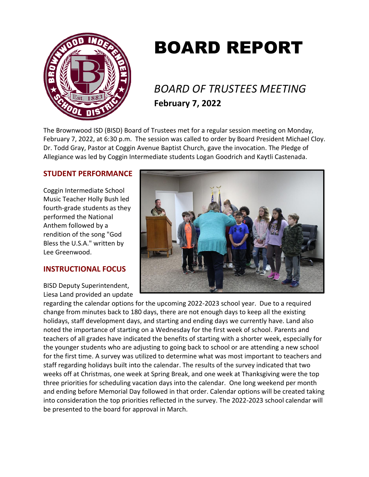

# BOARD REPORT

# *BOARD OF TRUSTEES MEETING* **February 7, 2022**

The Brownwood ISD (BISD) Board of Trustees met for a regular session meeting on Monday, February 7, 2022, at 6:30 p.m. The session was called to order by Board President Michael Cloy. Dr. Todd Gray, Pastor at Coggin Avenue Baptist Church, gave the invocation. The Pledge of Allegiance was led by Coggin Intermediate students Logan Goodrich and Kaytli Castenada.

# **STUDENT PERFORMANCE**

Coggin Intermediate School Music Teacher Holly Bush led fourth-grade students as they performed the National Anthem followed by a rendition of the song "God Bless the U.S.A." written by Lee Greenwood.

# **INSTRUCTIONAL FOCUS**

BISD Deputy Superintendent, Liesa Land provided an update



regarding the calendar options for the upcoming 2022-2023 school year. Due to a required change from minutes back to 180 days, there are not enough days to keep all the existing holidays, staff development days, and starting and ending days we currently have. Land also noted the importance of starting on a Wednesday for the first week of school. Parents and teachers of all grades have indicated the benefits of starting with a shorter week, especially for the younger students who are adjusting to going back to school or are attending a new school for the first time. A survey was utilized to determine what was most important to teachers and staff regarding holidays built into the calendar. The results of the survey indicated that two weeks off at Christmas, one week at Spring Break, and one week at Thanksgiving were the top three priorities for scheduling vacation days into the calendar. One long weekend per month and ending before Memorial Day followed in that order. Calendar options will be created taking into consideration the top priorities reflected in the survey. The 2022-2023 school calendar will be presented to the board for approval in March.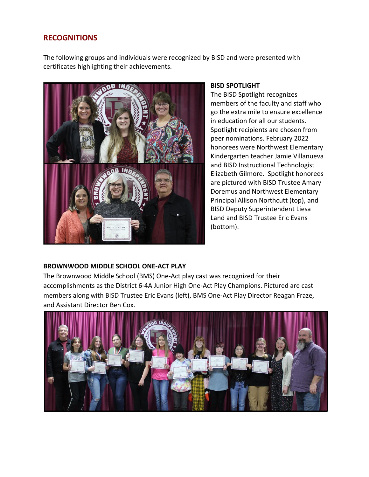# **RECOGNITIONS**

The following groups and individuals were recognized by BISD and were presented with certificates highlighting their achievements.



#### **BISD SPOTLIGHT**

The BISD Spotlight recognizes members of the faculty and staff who go the extra mile to ensure excellence in education for all our students. Spotlight recipients are chosen from peer nominations. February 2022 honorees were Northwest Elementary Kindergarten teacher Jamie Villanueva and BISD Instructional Technologist Elizabeth Gilmore. Spotlight honorees are pictured with BISD Trustee Amary Doremus and Northwest Elementary Principal Allison Northcutt (top), and BISD Deputy Superintendent Liesa Land and BISD Trustee Eric Evans (bottom).

# **BROWNWOOD MIDDLE SCHOOL ONE-ACT PLAY**

The Brownwood Middle School (BMS) One-Act play cast was recognized for their accomplishments as the District 6-4A Junior High One-Act Play Champions. Pictured are cast members along with BISD Trustee Eric Evans (left), BMS One-Act Play Director Reagan Fraze, and Assistant Director Ben Cox.

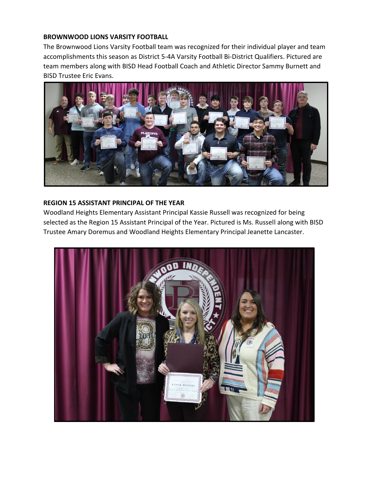### **BROWNWOOD LIONS VARSITY FOOTBALL**

The Brownwood Lions Varsity Football team was recognized for their individual player and team accomplishments this season as District 5-4A Varsity Football Bi-District Qualifiers. Pictured are team members along with BISD Head Football Coach and Athletic Director Sammy Burnett and BISD Trustee Eric Evans.



#### **REGION 15 ASSISTANT PRINCIPAL OF THE YEAR**

Woodland Heights Elementary Assistant Principal Kassie Russell was recognized for being selected as the Region 15 Assistant Principal of the Year. Pictured is Ms. Russell along with BISD Trustee Amary Doremus and Woodland Heights Elementary Principal Jeanette Lancaster.

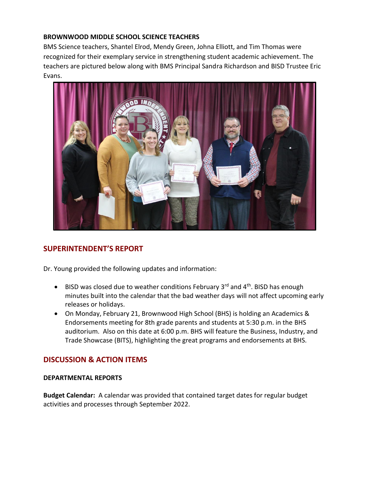# **BROWNWOOD MIDDLE SCHOOL SCIENCE TEACHERS**

BMS Science teachers, Shantel Elrod, Mendy Green, Johna Elliott, and Tim Thomas were recognized for their exemplary service in strengthening student academic achievement. The teachers are pictured below along with BMS Principal Sandra Richardson and BISD Trustee Eric Evans.



# **SUPERINTENDENT'S REPORT**

Dr. Young provided the following updates and information:

- $\bullet$  BISD was closed due to weather conditions February 3<sup>rd</sup> and 4<sup>th</sup>. BISD has enough minutes built into the calendar that the bad weather days will not affect upcoming early releases or holidays.
- On Monday, February 21, Brownwood High School (BHS) is holding an Academics & Endorsements meeting for 8th grade parents and students at 5:30 p.m. in the BHS auditorium. Also on this date at 6:00 p.m. BHS will feature the Business, Industry, and Trade Showcase (BITS), highlighting the great programs and endorsements at BHS.

# **DISCUSSION & ACTION ITEMS**

#### **DEPARTMENTAL REPORTS**

**Budget Calendar:** A calendar was provided that contained target dates for regular budget activities and processes through September 2022.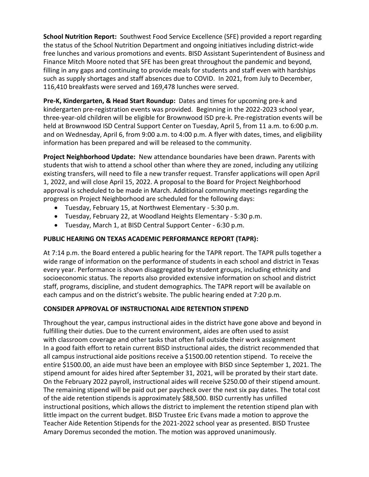**School Nutrition Report:** Southwest Food Service Excellence (SFE) provided a report regarding the status of the School Nutrition Department and ongoing initiatives including district-wide free lunches and various promotions and events. BISD Assistant Superintendent of Business and Finance Mitch Moore noted that SFE has been great throughout the pandemic and beyond, filling in any gaps and continuing to provide meals for students and staff even with hardships such as supply shortages and staff absences due to COVID. In 2021, from July to December, 116,410 breakfasts were served and 169,478 lunches were served.

**Pre-K, Kindergarten, & Head Start Roundup:** Dates and times for upcoming pre-k and kindergarten pre-registration events was provided. Beginning in the 2022-2023 school year, three-year-old children will be eligible for Brownwood ISD pre-k. Pre-registration events will be held at Brownwood ISD Central Support Center on Tuesday, April 5, from 11 a.m. to 6:00 p.m. and on Wednesday, April 6, from 9:00 a.m. to 4:00 p.m. A flyer with dates, times, and eligibility information has been prepared and will be released to the community.

**Project Neighborhood Update:** New attendance boundaries have been drawn. Parents with students that wish to attend a school other than where they are zoned, including any utilizing existing transfers, will need to file a new transfer request. Transfer applications will open April 1, 2022, and will close April 15, 2022. A proposal to the Board for Project Neighborhood approval is scheduled to be made in March. Additional community meetings regarding the progress on Project Neighborhood are scheduled for the following days:

- Tuesday, February 15, at Northwest Elementary 5:30 p.m.
- Tuesday, February 22, at Woodland Heights Elementary 5:30 p.m.
- Tuesday, March 1, at BISD Central Support Center 6:30 p.m.

# **PUBLIC HEARING ON TEXAS ACADEMIC PERFORMANCE REPORT (TAPR):**

At 7:14 p.m. the Board entered a public hearing for the TAPR report. The TAPR pulls together a wide range of information on the performance of students in each school and district in Texas every year. Performance is shown disaggregated by student groups, including ethnicity and socioeconomic status. The reports also provided extensive information on school and district staff, programs, discipline, and student demographics. The TAPR report will be available on each campus and on the district's website. The public hearing ended at 7:20 p.m.

# **CONSIDER APPROVAL OF INSTRUCTIONAL AIDE RETENTION STIPEND**

Throughout the year, campus instructional aides in the district have gone above and beyond in fulfilling their duties. Due to the current environment, aides are often used to assist with classroom coverage and other tasks that often fall outside their work assignment In a good faith effort to retain current BISD instructional aides, the district recommended that all campus instructional aide positions receive a \$1500.00 retention stipend. To receive the entire \$1500.00, an aide must have been an employee with BISD since September 1, 2021. The stipend amount for aides hired after September 31, 2021, will be prorated by their start date. On the February 2022 payroll, instructional aides will receive \$250.00 of their stipend amount. The remaining stipend will be paid out per paycheck over the next six pay dates. The total cost of the aide retention stipends is approximately \$88,500. BISD currently has unfilled instructional positions, which allows the district to implement the retention stipend plan with little impact on the current budget. BISD Trustee Eric Evans made a motion to approve the Teacher Aide Retention Stipends for the 2021-2022 school year as presented. BISD Trustee Amary Doremus seconded the motion. The motion was approved unanimously.